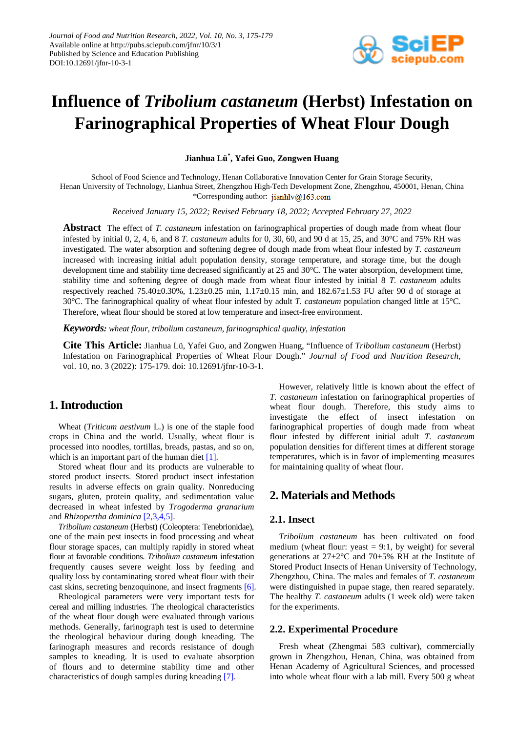

# **Influence of** *Tribolium castaneum* **(Herbst) Infestation on Farinographical Properties of Wheat Flour Dough**

**Jianhua Lü\* , Yafei Guo, Zongwen Huang**

School of Food Science and Technology, Henan Collaborative Innovation Center for Grain Storage Security, Henan University of Technology, Lianhua Street, Zhengzhou High-Tech Development Zone, Zhengzhou, 450001, Henan, China \*Corresponding author: jianhly@163.com

*Received January 15, 2022; Revised February 18, 2022; Accepted February 27, 2022*

**Abstract** The effect of *T. castaneum* infestation on farinographical properties of dough made from wheat flour infested by initial 0, 2, 4, 6, and 8 *T. castaneum* adults for 0, 30, 60, and 90 d at 15, 25, and 30°C and 75% RH was investigated. The water absorption and softening degree of dough made from wheat flour infested by *T. castaneum* increased with increasing initial adult population density, storage temperature, and storage time, but the dough development time and stability time decreased significantly at 25 and 30°C. The water absorption, development time, stability time and softening degree of dough made from wheat flour infested by initial 8 *T. castaneum* adults respectively reached 75.40±0.30%, 1.23±0.25 min, 1.17±0.15 min, and 182.67±1.53 FU after 90 d of storage at 30°C. The farinographical quality of wheat flour infested by adult *T. castaneum* population changed little at 15°C. Therefore, wheat flour should be stored at low temperature and insect-free environment.

*Keywords: wheat flour, tribolium castaneum, farinographical quality, infestation*

**Cite This Article:** Jianhua Lü, Yafei Guo, and Zongwen Huang, "Influence of *Tribolium castaneum* (Herbst) Infestation on Farinographical Properties of Wheat Flour Dough." *Journal of Food and Nutrition Research*, vol. 10, no. 3 (2022): 175-179. doi: 10.12691/jfnr-10-3-1.

# **1. Introduction**

Wheat (*Triticum aestivum* L.) is one of the staple food crops in China and the world. Usually, wheat flour is processed into noodles, tortillas, breads, pastas, and so on, which is an important part of the human diet  $[1]$ .

Stored wheat flour and its products are vulnerable to stored product insects. Stored product insect infestation results in adverse effects on grain quality. Nonreducing sugars, gluten, protein quality, and sedimentation value decreased in wheat infested by *Trogoderma granarium*  and *Rhizopertha dominica* [\[2,3,4,5\].](#page-3-1)

*Tribolium castaneum* (Herbst) (Coleoptera: Tenebrionidae), one of the main pest insects in food processing and wheat flour storage spaces, can multiply rapidly in stored wheat flour at favorable conditions. *Tribolium castaneum* infestation frequently causes severe weight loss by feeding and quality loss by contaminating stored wheat flour with their cast skins, secreting benzoquinone, and insect fragments [\[6\].](#page-3-2)

Rheological parameters were very important tests for cereal and milling industries. The rheological characteristics of the wheat flour dough were evaluated through various methods. Generally, farinograph test is used to determine the rheological behaviour during dough kneading. The farinograph measures and records resistance of dough samples to kneading. It is used to evaluate absorption of flours and to determine stability time and other characteristics of dough samples during kneading [\[7\].](#page-3-3)

However, relatively little is known about the effect of *T. castaneum* infestation on farinographical properties of wheat flour dough. Therefore, this study aims to investigate the effect of insect infestation on farinographical properties of dough made from wheat flour infested by different initial adult *T. castaneum* population densities for different times at different storage temperatures, which is in favor of implementing measures for maintaining quality of wheat flour.

# **2. Materials and Methods**

#### **2.1. Insect**

*Tribolium castaneum* has been cultivated on food medium (wheat flour: yeast  $= 9:1$ , by weight) for several generations at  $27 \pm 2^{\circ}$ C and  $70 \pm 5\%$  RH at the Institute of Stored Product Insects of Henan University of Technology, Zhengzhou, China. The males and females of *T. castaneum* were distinguished in pupae stage, then reared separately. The healthy *T. castaneum* adults (1 week old) were taken for the experiments.

### **2.2. Experimental Procedure**

Fresh wheat (Zhengmai 583 cultivar), commercially grown in Zhengzhou, Henan, China, was obtained from Henan Academy of Agricultural Sciences, and processed into whole wheat flour with a lab mill. Every 500 g wheat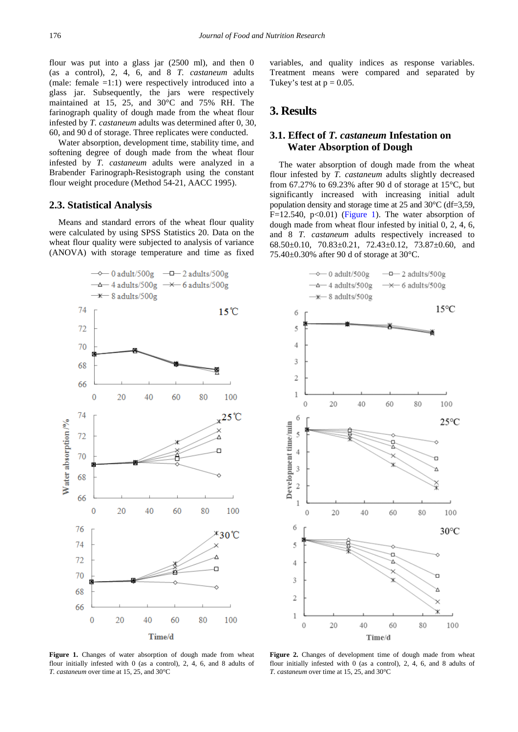flour was put into a glass jar (2500 ml), and then 0 (as a control), 2, 4, 6, and 8 *T. castaneum* adults (male: female  $=1:1$ ) were respectively introduced into a glass jar. Subsequently, the jars were respectively maintained at 15, 25, and 30°C and 75% RH. The farinograph quality of dough made from the wheat flour infested by *T. castaneum* adults was determined after 0, 30, 60, and 90 d of storage. Three replicates were conducted.

Water absorption, development time, stability time, and softening degree of dough made from the wheat flour infested by *T. castaneum* adults were analyzed in a Brabender Farinograph-Resistograph using the constant flour weight procedure (Method 54-21, AACC 1995).

### **2.3. Statistical Analysis**

Means and standard errors of the wheat flour quality were calculated by using SPSS Statistics 20. Data on the wheat flour quality were subjected to analysis of variance (ANOVA) with storage temperature and time as fixed

<span id="page-1-0"></span>

variables, and quality indices as response variables. Treatment means were compared and separated by Tukey's test at  $p = 0.05$ .

# **3. Results**

### **3.1. Effect of** *T. castaneum* **Infestation on Water Absorption of Dough**

The water absorption of dough made from the wheat flour infested by *T. castaneum* adults slightly decreased from 67.27% to 69.23% after 90 d of storage at 15°C, but significantly increased with increasing initial adult population density and storage time at 25 and 30°C (df=3,59, F=12.540, p<0.01) [\(Figure 1\)](#page-1-0). The water absorption of dough made from wheat flour infested by initial 0, 2, 4, 6, and 8 *T. castaneum* adults respectively increased to 68.50±0.10, 70.83±0.21, 72.43±0.12, 73.87±0.60, and 75.40±0.30% after 90 d of storage at 30°C.

<span id="page-1-1"></span>

Figure 1. Changes of water absorption of dough made from wheat flour initially infested with 0 (as a control), 2, 4, 6, and 8 adults of *T. castaneum* over time at 15, 25, and 30°C

**Figure 2.** Changes of development time of dough made from wheat flour initially infested with 0 (as a control), 2, 4, 6, and 8 adults of *T. castaneum* over time at 15, 25, and 30°C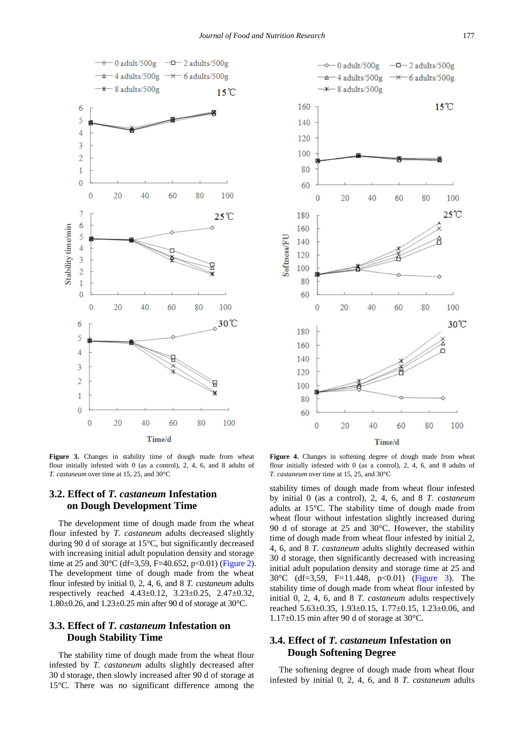<span id="page-2-0"></span>

<span id="page-2-1"></span>

**Figure 3.** Changes in stability time of dough made from wheat flour initially infested with 0 (as a control), 2, 4, 6, and 8 adults of *T. castaneum* over time at 15, 25, and 30°C

# **3.2. Effect of** *T. castaneum* **Infestation on Dough Development Time**

The development time of dough made from the wheat flour infested by *T. castaneum* adults decreased slightly during 90 d of storage at 15°C, but significantly decreased with increasing initial adult population density and storage time at 25 and 30 $^{\circ}$ C (df=3,59, F=40.652, p<0.01) [\(Figure 2\)](#page-1-1). The development time of dough made from the wheat flour infested by initial 0, 2, 4, 6, and 8 *T. castaneum* adults respectively reached 4.43±0.12, 3.23±0.25, 2.47±0.32, 1.80±0.26, and 1.23±0.25 min after 90 d of storage at 30°C.

### **3.3. Effect of** *T. castaneum* **Infestation on Dough Stability Time**

The stability time of dough made from the wheat flour infested by *T. castaneum* adults slightly decreased after 30 d storage, then slowly increased after 90 d of storage at 15°C. There was no significant difference among the

**Figure 4.** Changes in softening degree of dough made from wheat flour initially infested with 0 (as a control), 2, 4, 6, and 8 adults of *T. castaneum* over time at 15, 25, and 30°C

stability times of dough made from wheat flour infested by initial 0 (as a control), 2, 4, 6, and 8 *T. castaneum* adults at 15°C. The stability time of dough made from wheat flour without infestation slightly increased during 90 d of storage at 25 and 30°C. However, the stability time of dough made from wheat flour infested by initial 2, 4, 6, and 8 *T. castaneum* adults slightly decreased within 30 d storage, then significantly decreased with increasing initial adult population density and storage time at 25 and 30°C (df=3,59, F=11.448, p<0.01) [\(Figure 3\)](#page-2-0). The stability time of dough made from wheat flour infested by initial 0, 2, 4, 6, and 8 *T. castaneum* adults respectively reached 5.63±0.35, 1.93±0.15, 1.77±0.15, 1.23±0.06, and 1.17±0.15 min after 90 d of storage at 30°C.

### **3.4. Effect of** *T. castaneum* **Infestation on Dough Softening Degree**

The softening degree of dough made from wheat flour infested by initial 0, 2, 4, 6, and 8 *T. castaneum* adults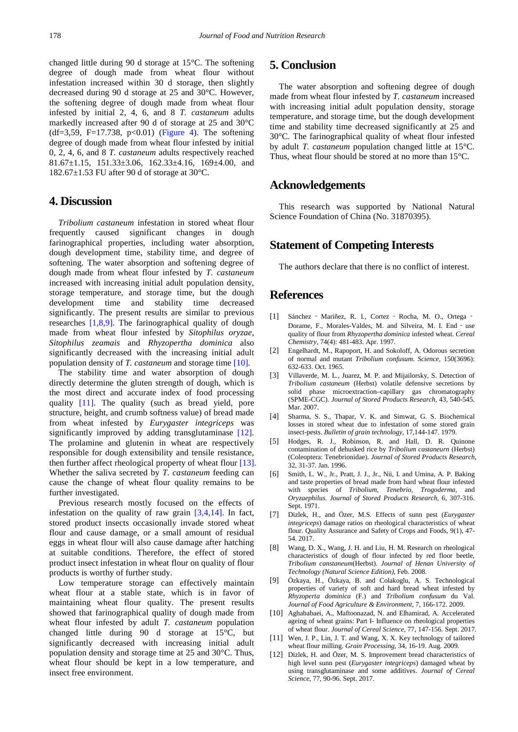changed little during 90 d storage at 15°C. The softening degree of dough made from wheat flour without infestation increased within 30 d storage, then slightly decreased during 90 d storage at 25 and 30°C. However, the softening degree of dough made from wheat flour infested by initial 2, 4, 6, and 8 *T. castaneum* adults markedly increased after 90 d of storage at 25 and 30°C  $(df=3,59, F=17.738, p<0.01)$  [\(Figure 4\)](#page-2-1). The softening degree of dough made from wheat flour infested by initial 0, 2, 4, 6, and 8 *T. castaneum* adults respectively reached 81.67±1.15, 151.33±3.06, 162.33±4.16, 169±4.00, and 182.67 $\pm$ 1.53 FU after 90 d of storage at 30 $^{\circ}$ C.

# **4. Discussion**

*Tribolium castaneum* infestation in stored wheat flour frequently caused significant changes in dough farinographical properties, including water absorption, dough development time, stability time, and degree of softening. The water absorption and softening degree of dough made from wheat flour infested by *T. castaneum* increased with increasing initial adult population density, storage temperature, and storage time, but the dough development time and stability time decreased significantly. The present results are similar to previous researches [\[1,8,9\].](#page-3-0) The farinographical quality of dough made from wheat flour infested by *Sitophilus oryzae*, *Sitophilus zeamais* and *Rhyzopertha dominica* also significantly decreased with the increasing initial adult population density of *T. castaneum* and storage time [\[10\].](#page-3-4)

The stability time and water absorption of dough directly determine the gluten strength of dough, which is the most direct and accurate index of food processing quality [\[11\].](#page-3-5) The quality (such as bread yield, pore structure, height, and crumb softness value) of bread made from wheat infested by *Eurygaster integriceps* was significantly improved by adding transglutaminase [\[12\].](#page-3-6) The prolamine and glutenin in wheat are respectively responsible for dough extensibility and tensile resistance, then further affect rheological property of wheat flour [\[13\].](#page-4-0) Whether the saliva secreted by *T. castaneum* feeding can cause the change of wheat flour quality remains to be further investigated.

Previous research mostly focused on the effects of infestation on the quality of raw grain  $[3,4,14]$ . In fact, stored product insects occasionally invade stored wheat flour and cause damage, or a small amount of residual eggs in wheat flour will also cause damage after hatching at suitable conditions. Therefore, the effect of stored product insect infestation in wheat flour on quality of flour products is worthy of further study.

Low temperature storage can effectively maintain wheat flour at a stable state, which is in favor of maintaining wheat flour quality. The present results showed that farinographical quality of dough made from wheat flour infested by adult *T. castaneum* population changed little during 90 d storage at 15°C, but significantly decreased with increasing initial adult population density and storage time at 25 and 30°C. Thus, wheat flour should be kept in a low temperature, and insect free environment.

# **5. Conclusion**

The water absorption and softening degree of dough made from wheat flour infested by *T. castaneum* increased with increasing initial adult population density, storage temperature, and storage time, but the dough development time and stability time decreased significantly at 25 and 30°C. The farinographical quality of wheat flour infested by adult *T. castaneum* population changed little at 15°C. Thus, wheat flour should be stored at no more than 15°C.

# **Acknowledgements**

This research was supported by National Natural Science Foundation of China (No. 31870395).

# **Statement of Competing Interests**

The authors declare that there is no conflict of interest.

### **References**

- <span id="page-3-0"></span>[1] Sánchez ‐ Mariñez, R. I., Cortez ‐ Rocha, M. O., Ortega ‐ Dorame, F., Morales-Valdes, M. and Silveira, M. I. End‐use quality of flour from *Rhyzopertha dominica* infested wheat. *Cereal Chemistry*, 74(4): 481-483. Apr. 1997.
- <span id="page-3-1"></span>[2] Engelhardt, M., Rapoport, H. and Sokoloff, A. Odorous secretion of normal and mutant *Tribolium confusum*. *Science*, 150(3696): 632-633. Oct. 1965.
- <span id="page-3-7"></span>[3] Villaverde, M. L., Juarez, M. P. and Mijailorsky, S. Detection of *Tribolium castaneum* (Herbst) volatile defensive secretions by solid phase microextraction–capillary gas chromatography (SPME-CGC). *Journal of Stored Products Research,* 43, 540-545. Mar. 2007.
- [4] Sharma, S. S., Thapar, V. K. and Simwat, G. S. Biochemical losses in stored wheat due to infestation of some stored grain insect-pests. *Bulletin of grain technology,* 17,144-147. 1979.
- [5] Hodges, R. J., Robinson, R. and Hall, D. R. Quinone contamination of dehusked rice by *Tribolium castaneurn* (Herbst) (Coleoptera: Tenebrionidae). *Journal of Stored Products Research,* 32, 31-37. Jan. 1996.
- <span id="page-3-2"></span>[6] Smith, L. W., Jr., Pratt, J. J., Jr., Nii, I. and Umina, A. P. Baking and taste properties of bread made from hard wheat flour infested with species of *Tribolium, Tenebrio, Trogoderma*, and *Oryzaephilus*. *Journal of Stored Products Research,* 6, 307-316. Sept. 1971.
- <span id="page-3-3"></span>[7] Dizlek, H., and Özer, M.S. Effects of sunn pest (*Eurygaster integriceps*) damage ratios on rheological characteristics of wheat flour. Quality Assurance and Safety of Crops and Foods, 9(1), 47- 54. 2017.
- [8] Wang, D. X., Wang, J. H. and Liu, H. M. Research on rheological characteristics of dough of flour infected by red floor beetle, *Tribolium canstaneum*(Herbst). *Journal of Henan University of Technology (Natural Science Edition),* Feb. 2008.
- [9] Özkaya, H., Özkaya, B. and Colakoglu, A. S. Technological properties of variety of soft and hard bread wheat infested by *Rhyzoperta dominica* (F.) and *Tribolium confusum* du Val. *Journal of Food Agriculture & Environment,* 7, 166-172. 2009.
- <span id="page-3-4"></span>[10] Aghababaei, A., Maftoonazad, N. and Elhamirad, A. Accelerated ageing of wheat grains: Part I- Influence on rheological properties of wheat flour. *Journal of Cereal Science,* 77, 147-156. Sept. 2017.
- <span id="page-3-5"></span>[11] Wen, J. P., Lin, J. T. and Wang, X. X. Key technology of tailored wheat flour milling. *Grain Processing,* 34, 16-19. Aug. 2009.
- <span id="page-3-6"></span>[12] Dizlek, H. and Özer, M. S. Improvement bread characteristics of high level sunn pest (*Eurygaster integriceps*) damaged wheat by using transglutaminase and some additives. *Journal of Cereal Science,* 77, 90-96. Sept. 2017.